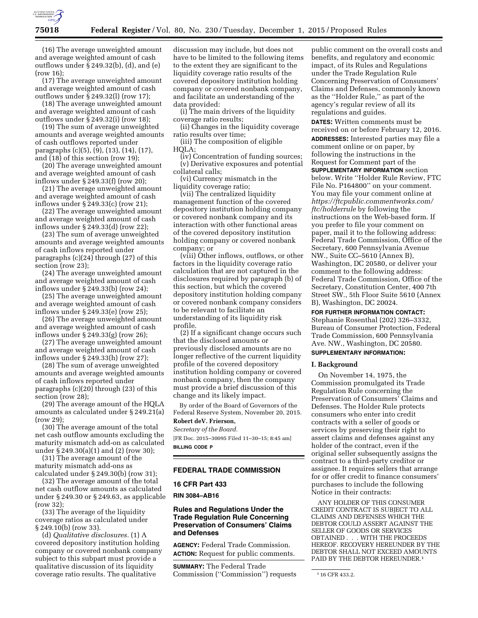

(16) The average unweighted amount and average weighted amount of cash outflows under § 249.32(b), (d), and (e) (row 16);

(17) The average unweighted amount and average weighted amount of cash outflows under § 249.32(l) (row 17);

(18) The average unweighted amount and average weighted amount of cash outflows under  $\bar{\S}$  249.32(i) (row 18);

(19) The sum of average unweighted amounts and average weighted amounts of cash outflows reported under paragraphs (c)(5), (9), (13), (14), (17), and (18) of this section (row 19);

(20) The average unweighted amount and average weighted amount of cash inflows under § 249.33(f) (row 20);

(21) The average unweighted amount and average weighted amount of cash inflows under § 249.33(c) (row 21);

(22) The average unweighted amount and average weighted amount of cash inflows under § 249.33(d) (row 22);

(23) The sum of average unweighted amounts and average weighted amounts of cash inflows reported under paragraphs (c)(24) through (27) of this section (row 23);

(24) The average unweighted amount and average weighted amount of cash inflows under § 249.33(b) (row 24);

(25) The average unweighted amount and average weighted amount of cash inflows under § 249.33(e) (row 25);

(26) The average unweighted amount and average weighted amount of cash inflows under § 249.33(g) (row 26);

(27) The average unweighted amount and average weighted amount of cash inflows under § 249.33(h) (row 27);

(28) The sum of average unweighted amounts and average weighted amounts of cash inflows reported under paragraphs (c)(20) through (23) of this section (row 28);

(29) The average amount of the HQLA amounts as calculated under § 249.21(a) (row 29);

(30) The average amount of the total net cash outflow amounts excluding the maturity mismatch add-on as calculated under § 249.30(a)(1) and (2) (row 30);

(31) The average amount of the maturity mismatch add-ons as calculated under § 249.30(b) (row 31);

(32) The average amount of the total net cash outflow amounts as calculated under § 249.30 or § 249.63, as applicable (row 32);

(33) The average of the liquidity coverage ratios as calculated under § 249.10(b) (row 33).

(d) *Qualitative disclosures.* (1) A covered depository institution holding company or covered nonbank company subject to this subpart must provide a qualitative discussion of its liquidity coverage ratio results. The qualitative

discussion may include, but does not have to be limited to the following items to the extent they are significant to the liquidity coverage ratio results of the covered depository institution holding company or covered nonbank company, and facilitate an understanding of the data provided:

(i) The main drivers of the liquidity coverage ratio results;

(ii) Changes in the liquidity coverage ratio results over time;

(iii) The composition of eligible HQLA;

(iv) Concentration of funding sources; (v) Derivative exposures and potential collateral calls;

(vi) Currency mismatch in the liquidity coverage ratio;

(vii) The centralized liquidity management function of the covered depository institution holding company or covered nonbank company and its interaction with other functional areas of the covered depository institution holding company or covered nonbank company; or

(viii) Other inflows, outflows, or other factors in the liquidity coverage ratio calculation that are not captured in the disclosures required by paragraph (b) of this section, but which the covered depository institution holding company or covered nonbank company considers to be relevant to facilitate an understanding of its liquidity risk profile.

(2) If a significant change occurs such that the disclosed amounts or previously disclosed amounts are no longer reflective of the current liquidity profile of the covered depository institution holding company or covered nonbank company, then the company must provide a brief discussion of this change and its likely impact.

By order of the Board of Governors of the Federal Reserve System, November 20, 2015. **Robert deV. Frierson,** 

# *Secretary of the Board.*

[FR Doc. 2015–30095 Filed 11–30–15; 8:45 am] **BILLING CODE P** 

#### **FEDERAL TRADE COMMISSION**

### **16 CFR Part 433**

**RIN 3084–AB16** 

## **Rules and Regulations Under the Trade Regulation Rule Concerning Preservation of Consumers' Claims and Defenses**

**AGENCY:** Federal Trade Commission. **ACTION:** Request for public comments.

**SUMMARY:** The Federal Trade Commission (''Commission'') requests

public comment on the overall costs and benefits, and regulatory and economic impact, of its Rules and Regulations under the Trade Regulation Rule Concerning Preservation of Consumers' Claims and Defenses, commonly known as the ''Holder Rule,'' as part of the agency's regular review of all its regulations and guides.

**DATES:** Written comments must be received on or before February 12, 2016.

**ADDRESSES:** Interested parties may file a comment online or on paper, by following the instructions in the Request for Comment part of the **SUPPLEMENTARY INFORMATION** section below. Write ''Holder Rule Review, FTC File No. P164800'' on your comment. You may file your comment online at *[https://ftcpublic.commentworks.com/](https://ftcpublic.commentworks.com/ftc/holderrule) [ftc/holderrule](https://ftcpublic.commentworks.com/ftc/holderrule)* by following the instructions on the Web-based form. If you prefer to file your comment on paper, mail it to the following address: Federal Trade Commission, Office of the Secretary, 600 Pennsylvania Avenue NW., Suite CC–5610 (Annex B), Washington, DC 20580, or deliver your comment to the following address: Federal Trade Commission, Office of the Secretary, Constitution Center, 400 7th Street SW., 5th Floor Suite 5610 (Annex B), Washington, DC 20024.

#### **FOR FURTHER INFORMATION CONTACT:**

Stephanie Rosenthal (202) 326–3332, Bureau of Consumer Protection, Federal Trade Commission, 600 Pennsylvania Ave. NW., Washington, DC 20580.

# **SUPPLEMENTARY INFORMATION:**

#### **I. Background**

On November 14, 1975, the Commission promulgated its Trade Regulation Rule concerning the Preservation of Consumers' Claims and Defenses. The Holder Rule protects consumers who enter into credit contracts with a seller of goods or services by preserving their right to assert claims and defenses against any holder of the contract, even if the original seller subsequently assigns the contract to a third-party creditor or assignee. It requires sellers that arrange for or offer credit to finance consumers' purchases to include the following Notice in their contracts:

ANY HOLDER OF THIS CONSUMER CREDIT CONTRACT IS SUBJECT TO ALL CLAIMS AND DEFENSES WHICH THE DEBTOR COULD ASSERT AGAINST THE SELLER OF GOODS OR SERVICES OBTAINED . . . WITH THE PROCEEDS HEREOF. RECOVERY HEREUNDER BY THE DEBTOR SHALL NOT EXCEED AMOUNTS PAID BY THE DEBTOR HEREUNDER.<sup>1</sup>

<sup>1</sup> 16 CFR 433.2.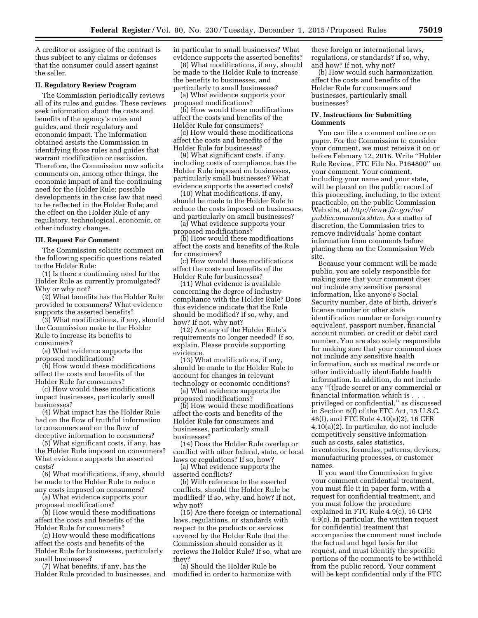A creditor or assignee of the contract is thus subject to any claims or defenses that the consumer could assert against the seller.

#### **II. Regulatory Review Program**

The Commission periodically reviews all of its rules and guides. These reviews seek information about the costs and benefits of the agency's rules and guides, and their regulatory and economic impact. The information obtained assists the Commission in identifying those rules and guides that warrant modification or rescission. Therefore, the Commission now solicits comments on, among other things, the economic impact of and the continuing need for the Holder Rule; possible developments in the case law that need to be reflected in the Holder Rule; and the effect on the Holder Rule of any regulatory, technological, economic, or other industry changes.

#### **III. Request For Comment**

The Commission solicits comment on the following specific questions related to the Holder Rule:

(1) Is there a continuing need for the Holder Rule as currently promulgated? Why or why not?

(2) What benefits has the Holder Rule provided to consumers? What evidence supports the asserted benefits?

(3) What modifications, if any, should the Commission make to the Holder Rule to increase its benefits to consumers?

(a) What evidence supports the proposed modifications?

(b) How would these modifications affect the costs and benefits of the Holder Rule for consumers?

(c) How would these modifications impact businesses, particularly small businesses?

(4) What impact has the Holder Rule had on the flow of truthful information to consumers and on the flow of deceptive information to consumers?

(5) What significant costs, if any, has the Holder Rule imposed on consumers? What evidence supports the asserted costs?

(6) What modifications, if any, should be made to the Holder Rule to reduce any costs imposed on consumers?

(a) What evidence supports your proposed modifications?

(b) How would these modifications affect the costs and benefits of the Holder Rule for consumers?

(c) How would these modifications affect the costs and benefits of the Holder Rule for businesses, particularly small businesses?

(7) What benefits, if any, has the Holder Rule provided to businesses, and in particular to small businesses? What evidence supports the asserted benefits?

(8) What modifications, if any, should be made to the Holder Rule to increase the benefits to businesses, and particularly to small businesses?

(a) What evidence supports your proposed modifications?

(b) How would these modifications affect the costs and benefits of the Holder Rule for consumers?

(c) How would these modifications affect the costs and benefits of the Holder Rule for businesses?

(9) What significant costs, if any, including costs of compliance, has the Holder Rule imposed on businesses, particularly small businesses? What evidence supports the asserted costs?

(10) What modifications, if any, should be made to the Holder Rule to reduce the costs imposed on businesses, and particularly on small businesses?

(a) What evidence supports your proposed modifications?

(b) How would these modifications affect the costs and benefits of the Rule for consumers?

(c) How would these modifications affect the costs and benefits of the Holder Rule for businesses?

(11) What evidence is available concerning the degree of industry compliance with the Holder Rule? Does this evidence indicate that the Rule should be modified? If so, why, and how? If not, why not?

(12) Are any of the Holder Rule's requirements no longer needed? If so, explain. Please provide supporting evidence.

(13) What modifications, if any, should be made to the Holder Rule to account for changes in relevant technology or economic conditions?

(a) What evidence supports the proposed modifications?

(b) How would these modifications affect the costs and benefits of the Holder Rule for consumers and businesses, particularly small businesses?

(14) Does the Holder Rule overlap or conflict with other federal, state, or local laws or regulations? If so, how?

(a) What evidence supports the asserted conflicts?

(b) With reference to the asserted conflicts, should the Holder Rule be modified? If so, why, and how? If not, why not?

(15) Are there foreign or international laws, regulations, or standards with respect to the products or services covered by the Holder Rule that the Commission should consider as it reviews the Holder Rule? If so, what are they?

(a) Should the Holder Rule be modified in order to harmonize with

these foreign or international laws, regulations, or standards? If so, why, and how? If not, why not?

(b) How would such harmonization affect the costs and benefits of the Holder Rule for consumers and businesses, particularly small businesses?

#### **IV. Instructions for Submitting Comments**

You can file a comment online or on paper. For the Commission to consider your comment, we must receive it on or before February 12, 2016. Write ''Holder Rule Review, FTC File No. P164800'' on your comment. Your comment, including your name and your state, will be placed on the public record of this proceeding, including, to the extent practicable, on the public Commission Web site, at *[http://www.ftc.gov/os/](http://www.ftc.gov/os/publiccomments.shtm) [publiccomments.shtm.](http://www.ftc.gov/os/publiccomments.shtm)* As a matter of discretion, the Commission tries to remove individuals' home contact information from comments before placing them on the Commission Web site.

Because your comment will be made public, you are solely responsible for making sure that your comment does not include any sensitive personal information, like anyone's Social Security number, date of birth, driver's license number or other state identification number or foreign country equivalent, passport number, financial account number, or credit or debit card number. You are also solely responsible for making sure that your comment does not include any sensitive health information, such as medical records or other individually identifiable health information. In addition, do not include any ''[t]rade secret or any commercial or financial information which is . . . privileged or confidential,'' as discussed in Section 6(f) of the FTC Act, 15 U.S.C. 46(f), and FTC Rule 4.10(a)(2), 16 CFR 4.10(a)(2). In particular, do not include competitively sensitive information such as costs, sales statistics, inventories, formulas, patterns, devices, manufacturing processes, or customer names.

If you want the Commission to give your comment confidential treatment, you must file it in paper form, with a request for confidential treatment, and you must follow the procedure explained in FTC Rule 4.9(c), 16 CFR 4.9(c). In particular, the written request for confidential treatment that accompanies the comment must include the factual and legal basis for the request, and must identify the specific portions of the comments to be withheld from the public record. Your comment will be kept confidential only if the FTC